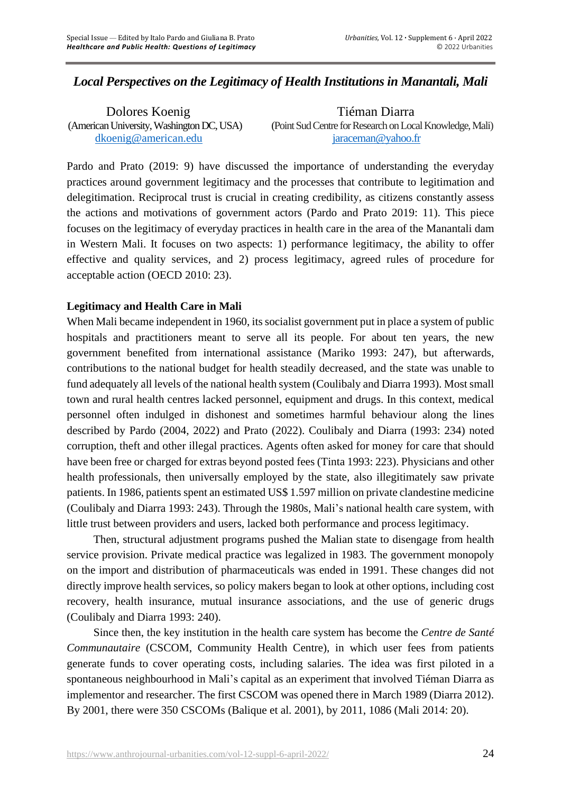# *Local Perspectives on the Legitimacy of Health Institutions in Manantali, Mali*

Dolores Koenig Tiéman Diarra (American University, Washington DC, USA) (Point Sud Centre for Research on Local Knowledge, Mali) [dkoenig@american.edu](mailto:dkoenig@american.edu) [jaraceman@yahoo.fr](mailto:jaraceman@yahoo.fr)

Pardo and Prato (2019: 9) have discussed the importance of understanding the everyday practices around government legitimacy and the processes that contribute to legitimation and delegitimation. Reciprocal trust is crucial in creating credibility, as citizens constantly assess the actions and motivations of government actors (Pardo and Prato 2019: 11). This piece focuses on the legitimacy of everyday practices in health care in the area of the Manantali dam in Western Mali. It focuses on two aspects: 1) performance legitimacy, the ability to offer effective and quality services, and 2) process legitimacy, agreed rules of procedure for acceptable action (OECD 2010: 23).

### **Legitimacy and Health Care in Mali**

When Mali became independent in 1960, its socialist government put in place a system of public hospitals and practitioners meant to serve all its people. For about ten years, the new government benefited from international assistance (Mariko 1993: 247), but afterwards, contributions to the national budget for health steadily decreased, and the state was unable to fund adequately all levels of the national health system (Coulibaly and Diarra 1993). Mostsmall town and rural health centres lacked personnel, equipment and drugs. In this context, medical personnel often indulged in dishonest and sometimes harmful behaviour along the lines described by Pardo (2004, 2022) and Prato (2022). Coulibaly and Diarra (1993: 234) noted corruption, theft and other illegal practices. Agents often asked for money for care that should have been free or charged for extras beyond posted fees (Tinta 1993: 223). Physicians and other health professionals, then universally employed by the state, also illegitimately saw private patients. In 1986, patients spent an estimated US\$ 1.597 million on private clandestine medicine (Coulibaly and Diarra 1993: 243). Through the 1980s, Mali's national health care system, with little trust between providers and users, lacked both performance and process legitimacy.

Then, structural adjustment programs pushed the Malian state to disengage from health service provision. Private medical practice was legalized in 1983. The government monopoly on the import and distribution of pharmaceuticals was ended in 1991. These changes did not directly improve health services, so policy makers began to look at other options, including cost recovery, health insurance, mutual insurance associations, and the use of generic drugs (Coulibaly and Diarra 1993: 240).

Since then, the key institution in the health care system has become the *Centre de Santé Communautaire* (CSCOM, Community Health Centre), in which user fees from patients generate funds to cover operating costs, including salaries. The idea was first piloted in a spontaneous neighbourhood in Mali's capital as an experiment that involved Tiéman Diarra as implementor and researcher. The first CSCOM was opened there in March 1989 (Diarra 2012). By 2001, there were 350 CSCOMs (Balique et al. 2001), by 2011, 1086 (Mali 2014: 20).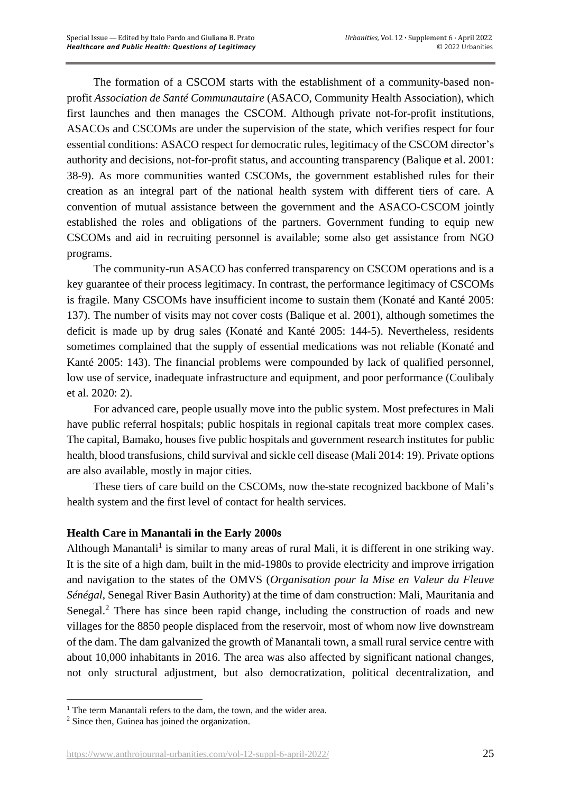The formation of a CSCOM starts with the establishment of a community-based nonprofit *Association de Santé Communautaire* (ASACO, Community Health Association), which first launches and then manages the CSCOM. Although private not-for-profit institutions, ASACOs and CSCOMs are under the supervision of the state, which verifies respect for four essential conditions: ASACO respect for democratic rules, legitimacy of the CSCOM director's authority and decisions, not-for-profit status, and accounting transparency (Balique et al. 2001: 38-9). As more communities wanted CSCOMs, the government established rules for their creation as an integral part of the national health system with different tiers of care. A convention of mutual assistance between the government and the ASACO-CSCOM jointly established the roles and obligations of the partners. Government funding to equip new CSCOMs and aid in recruiting personnel is available; some also get assistance from NGO programs.

The community-run ASACO has conferred transparency on CSCOM operations and is a key guarantee of their process legitimacy. In contrast, the performance legitimacy of CSCOMs is fragile. Many CSCOMs have insufficient income to sustain them (Konaté and Kanté 2005: 137). The number of visits may not cover costs (Balique et al. 2001), although sometimes the deficit is made up by drug sales (Konaté and Kanté 2005: 144-5). Nevertheless, residents sometimes complained that the supply of essential medications was not reliable (Konaté and Kanté 2005: 143). The financial problems were compounded by lack of qualified personnel, low use of service, inadequate infrastructure and equipment, and poor performance (Coulibaly et al. 2020: 2).

For advanced care, people usually move into the public system. Most prefectures in Mali have public referral hospitals; public hospitals in regional capitals treat more complex cases. The capital, Bamako, houses five public hospitals and government research institutes for public health, blood transfusions, child survival and sickle cell disease (Mali 2014: 19). Private options are also available, mostly in major cities.

These tiers of care build on the CSCOMs, now the-state recognized backbone of Mali's health system and the first level of contact for health services.

### **Health Care in Manantali in the Early 2000s**

Although Manantali<sup>1</sup> is similar to many areas of rural Mali, it is different in one striking way. It is the site of a high dam, built in the mid-1980s to provide electricity and improve irrigation and navigation to the states of the OMVS (*Organisation pour la Mise en Valeur du Fleuve Sénégal*, Senegal River Basin Authority) at the time of dam construction: Mali, Mauritania and Senegal.<sup>2</sup> There has since been rapid change, including the construction of roads and new villages for the 8850 people displaced from the reservoir, most of whom now live downstream of the dam. The dam galvanized the growth of Manantali town, a small rural service centre with about 10,000 inhabitants in 2016. The area was also affected by significant national changes, not only structural adjustment, but also democratization, political decentralization, and

<sup>&</sup>lt;sup>1</sup> The term Manantali refers to the dam, the town, and the wider area.

<sup>2</sup> Since then, Guinea has joined the organization.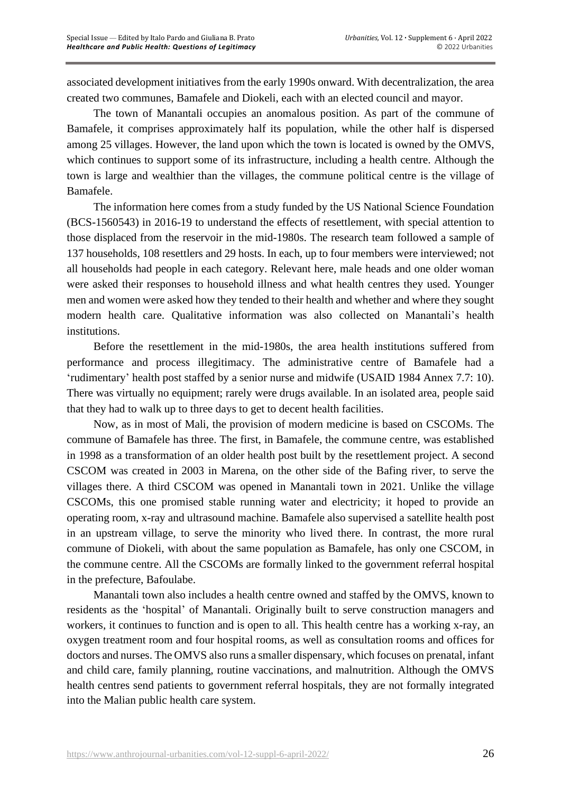associated development initiatives from the early 1990s onward. With decentralization, the area created two communes, Bamafele and Diokeli, each with an elected council and mayor.

The town of Manantali occupies an anomalous position. As part of the commune of Bamafele, it comprises approximately half its population, while the other half is dispersed among 25 villages. However, the land upon which the town is located is owned by the OMVS, which continues to support some of its infrastructure, including a health centre. Although the town is large and wealthier than the villages, the commune political centre is the village of Bamafele.

The information here comes from a study funded by the US National Science Foundation (BCS-1560543) in 2016-19 to understand the effects of resettlement, with special attention to those displaced from the reservoir in the mid-1980s. The research team followed a sample of 137 households, 108 resettlers and 29 hosts. In each, up to four members were interviewed; not all households had people in each category. Relevant here, male heads and one older woman were asked their responses to household illness and what health centres they used. Younger men and women were asked how they tended to their health and whether and where they sought modern health care. Qualitative information was also collected on Manantali's health institutions.

Before the resettlement in the mid-1980s, the area health institutions suffered from performance and process illegitimacy. The administrative centre of Bamafele had a 'rudimentary' health post staffed by a senior nurse and midwife (USAID 1984 Annex 7.7: 10). There was virtually no equipment; rarely were drugs available. In an isolated area, people said that they had to walk up to three days to get to decent health facilities.

Now, as in most of Mali, the provision of modern medicine is based on CSCOMs. The commune of Bamafele has three. The first, in Bamafele, the commune centre, was established in 1998 as a transformation of an older health post built by the resettlement project. A second CSCOM was created in 2003 in Marena, on the other side of the Bafing river, to serve the villages there. A third CSCOM was opened in Manantali town in 2021. Unlike the village CSCOMs, this one promised stable running water and electricity; it hoped to provide an operating room, x-ray and ultrasound machine. Bamafele also supervised a satellite health post in an upstream village, to serve the minority who lived there. In contrast, the more rural commune of Diokeli, with about the same population as Bamafele, has only one CSCOM, in the commune centre. All the CSCOMs are formally linked to the government referral hospital in the prefecture, Bafoulabe.

Manantali town also includes a health centre owned and staffed by the OMVS, known to residents as the 'hospital' of Manantali. Originally built to serve construction managers and workers, it continues to function and is open to all. This health centre has a working x-ray, an oxygen treatment room and four hospital rooms, as well as consultation rooms and offices for doctors and nurses. The OMVS also runs a smaller dispensary, which focuses on prenatal, infant and child care, family planning, routine vaccinations, and malnutrition. Although the OMVS health centres send patients to government referral hospitals, they are not formally integrated into the Malian public health care system.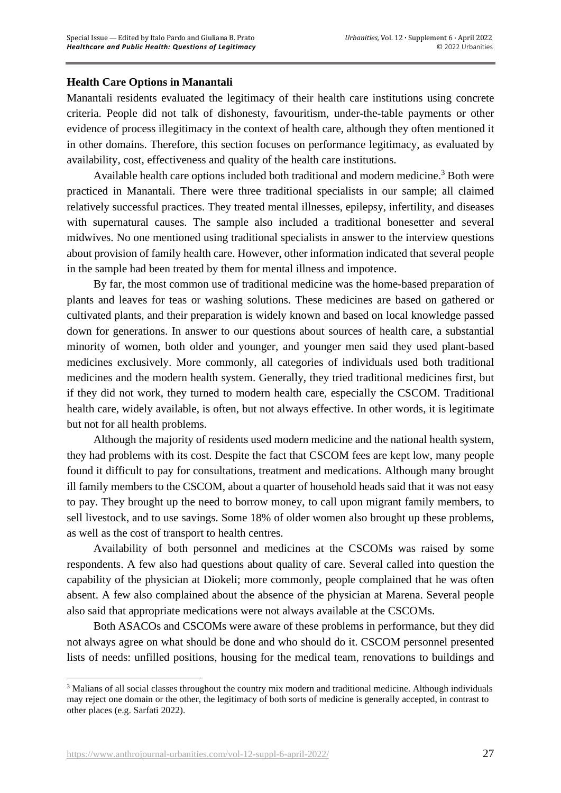## **Health Care Options in Manantali**

Manantali residents evaluated the legitimacy of their health care institutions using concrete criteria. People did not talk of dishonesty, favouritism, under-the-table payments or other evidence of process illegitimacy in the context of health care, although they often mentioned it in other domains. Therefore, this section focuses on performance legitimacy, as evaluated by availability, cost, effectiveness and quality of the health care institutions.

Available health care options included both traditional and modern medicine.<sup>3</sup> Both were practiced in Manantali. There were three traditional specialists in our sample; all claimed relatively successful practices. They treated mental illnesses, epilepsy, infertility, and diseases with supernatural causes. The sample also included a traditional bonesetter and several midwives. No one mentioned using traditional specialists in answer to the interview questions about provision of family health care. However, other information indicated that several people in the sample had been treated by them for mental illness and impotence.

By far, the most common use of traditional medicine was the home-based preparation of plants and leaves for teas or washing solutions. These medicines are based on gathered or cultivated plants, and their preparation is widely known and based on local knowledge passed down for generations. In answer to our questions about sources of health care, a substantial minority of women, both older and younger, and younger men said they used plant-based medicines exclusively. More commonly, all categories of individuals used both traditional medicines and the modern health system. Generally, they tried traditional medicines first, but if they did not work, they turned to modern health care, especially the CSCOM. Traditional health care, widely available, is often, but not always effective. In other words, it is legitimate but not for all health problems.

Although the majority of residents used modern medicine and the national health system, they had problems with its cost. Despite the fact that CSCOM fees are kept low, many people found it difficult to pay for consultations, treatment and medications. Although many brought ill family members to the CSCOM, about a quarter of household heads said that it was not easy to pay. They brought up the need to borrow money, to call upon migrant family members, to sell livestock, and to use savings. Some 18% of older women also brought up these problems, as well as the cost of transport to health centres.

Availability of both personnel and medicines at the CSCOMs was raised by some respondents. A few also had questions about quality of care. Several called into question the capability of the physician at Diokeli; more commonly, people complained that he was often absent. A few also complained about the absence of the physician at Marena. Several people also said that appropriate medications were not always available at the CSCOMs.

Both ASACOs and CSCOMs were aware of these problems in performance, but they did not always agree on what should be done and who should do it. CSCOM personnel presented lists of needs: unfilled positions, housing for the medical team, renovations to buildings and

<sup>&</sup>lt;sup>3</sup> Malians of all social classes throughout the country mix modern and traditional medicine. Although individuals may reject one domain or the other, the legitimacy of both sorts of medicine is generally accepted, in contrast to other places (e.g. Sarfati 2022).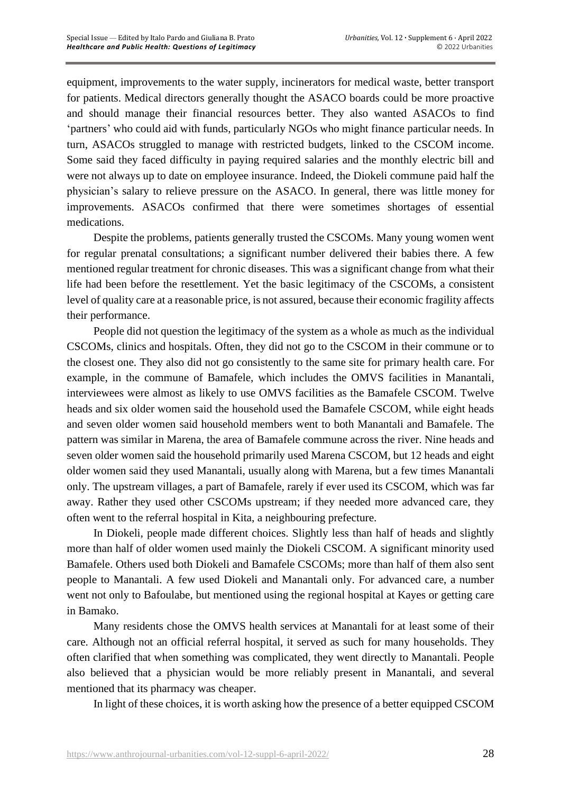equipment, improvements to the water supply, incinerators for medical waste, better transport for patients. Medical directors generally thought the ASACO boards could be more proactive and should manage their financial resources better. They also wanted ASACOs to find 'partners' who could aid with funds, particularly NGOs who might finance particular needs. In turn, ASACOs struggled to manage with restricted budgets, linked to the CSCOM income. Some said they faced difficulty in paying required salaries and the monthly electric bill and were not always up to date on employee insurance. Indeed, the Diokeli commune paid half the physician's salary to relieve pressure on the ASACO. In general, there was little money for improvements. ASACOs confirmed that there were sometimes shortages of essential medications.

Despite the problems, patients generally trusted the CSCOMs. Many young women went for regular prenatal consultations; a significant number delivered their babies there. A few mentioned regular treatment for chronic diseases. This was a significant change from what their life had been before the resettlement. Yet the basic legitimacy of the CSCOMs, a consistent level of quality care at a reasonable price, is not assured, because their economic fragility affects their performance.

People did not question the legitimacy of the system as a whole as much as the individual CSCOMs, clinics and hospitals. Often, they did not go to the CSCOM in their commune or to the closest one. They also did not go consistently to the same site for primary health care. For example, in the commune of Bamafele, which includes the OMVS facilities in Manantali, interviewees were almost as likely to use OMVS facilities as the Bamafele CSCOM. Twelve heads and six older women said the household used the Bamafele CSCOM, while eight heads and seven older women said household members went to both Manantali and Bamafele. The pattern was similar in Marena, the area of Bamafele commune across the river. Nine heads and seven older women said the household primarily used Marena CSCOM, but 12 heads and eight older women said they used Manantali, usually along with Marena, but a few times Manantali only. The upstream villages, a part of Bamafele, rarely if ever used its CSCOM, which was far away. Rather they used other CSCOMs upstream; if they needed more advanced care, they often went to the referral hospital in Kita, a neighbouring prefecture.

In Diokeli, people made different choices. Slightly less than half of heads and slightly more than half of older women used mainly the Diokeli CSCOM. A significant minority used Bamafele. Others used both Diokeli and Bamafele CSCOMs; more than half of them also sent people to Manantali. A few used Diokeli and Manantali only. For advanced care, a number went not only to Bafoulabe, but mentioned using the regional hospital at Kayes or getting care in Bamako.

Many residents chose the OMVS health services at Manantali for at least some of their care. Although not an official referral hospital, it served as such for many households. They often clarified that when something was complicated, they went directly to Manantali. People also believed that a physician would be more reliably present in Manantali, and several mentioned that its pharmacy was cheaper.

In light of these choices, it is worth asking how the presence of a better equipped CSCOM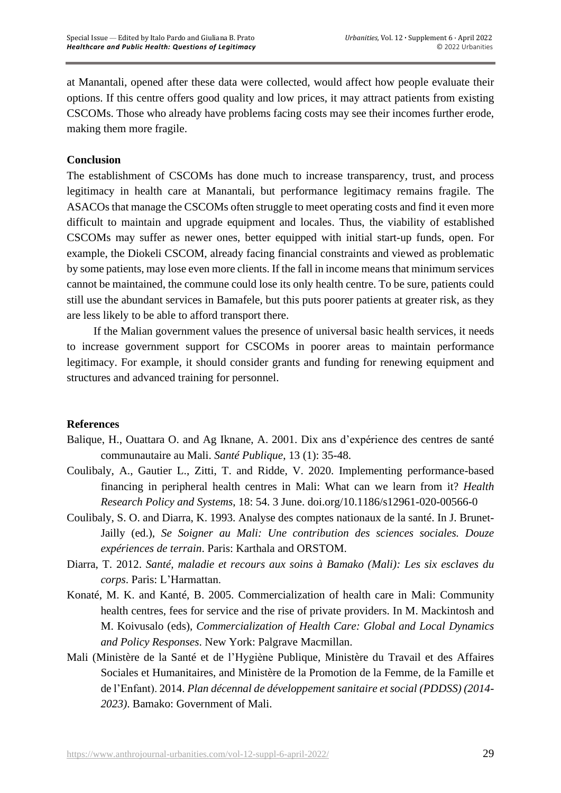at Manantali, opened after these data were collected, would affect how people evaluate their options. If this centre offers good quality and low prices, it may attract patients from existing CSCOMs. Those who already have problems facing costs may see their incomes further erode, making them more fragile.

#### **Conclusion**

The establishment of CSCOMs has done much to increase transparency, trust, and process legitimacy in health care at Manantali, but performance legitimacy remains fragile. The ASACOs that manage the CSCOMs often struggle to meet operating costs and find it even more difficult to maintain and upgrade equipment and locales. Thus, the viability of established CSCOMs may suffer as newer ones, better equipped with initial start-up funds, open. For example, the Diokeli CSCOM, already facing financial constraints and viewed as problematic by some patients, may lose even more clients. If the fall in income meansthat minimum services cannot be maintained, the commune could lose its only health centre. To be sure, patients could still use the abundant services in Bamafele, but this puts poorer patients at greater risk, as they are less likely to be able to afford transport there.

If the Malian government values the presence of universal basic health services, it needs to increase government support for CSCOMs in poorer areas to maintain performance legitimacy. For example, it should consider grants and funding for renewing equipment and structures and advanced training for personnel.

#### **References**

- Balique, H., Ouattara O. and Ag Iknane, A. 2001. Dix ans d'expérience des centres de santé communautaire au Mali. *Santé Publique*, 13 (1): 35-48.
- Coulibaly, A., Gautier L., Zitti, T. and Ridde, V. 2020. Implementing performance-based financing in peripheral health centres in Mali: What can we learn from it? *Health Research Policy and Systems*, 18: 54. 3 June. doi.org/10.1186/s12961-020-00566-0
- Coulibaly, S. O. and Diarra, K. 1993. Analyse des comptes nationaux de la santé. In J. Brunet-Jailly (ed.), *Se Soigner au Mali: Une contribution des sciences sociales. Douze expériences de terrain*. Paris: Karthala and ORSTOM.
- Diarra, T. 2012. *Santé, maladie et recours aux soins à Bamako (Mali): Les six esclaves du corps*. Paris: L'Harmattan.
- Konaté, M. K. and Kanté, B. 2005. Commercialization of health care in Mali: Community health centres, fees for service and the rise of private providers. In M. Mackintosh and M. Koivusalo (eds), *Commercialization of Health Care: Global and Local Dynamics and Policy Responses*. New York: Palgrave Macmillan.
- Mali (Ministère de la Santé et de l'Hygiène Publique, Ministère du Travail et des Affaires Sociales et Humanitaires, and Ministère de la Promotion de la Femme, de la Famille et de l'Enfant). 2014. *Plan décennal de développement sanitaire et social (PDDSS) (2014- 2023)*. Bamako: Government of Mali.